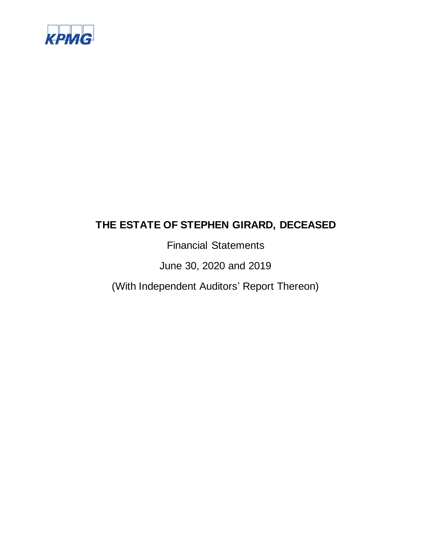

Financial Statements

June 30, 2020 and 2019

(With Independent Auditors' Report Thereon)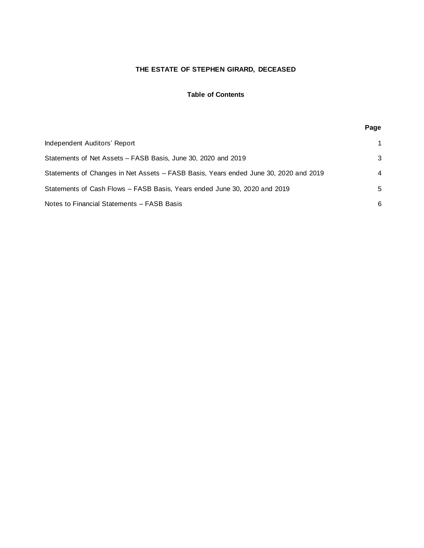# **Table of Contents**

|                                                                                      | Page           |
|--------------------------------------------------------------------------------------|----------------|
| Independent Auditors' Report                                                         | 1              |
| Statements of Net Assets – FASB Basis, June 30, 2020 and 2019                        | -3             |
| Statements of Changes in Net Assets - FASB Basis, Years ended June 30, 2020 and 2019 | $\overline{4}$ |
| Statements of Cash Flows - FASB Basis, Years ended June 30, 2020 and 2019            | 5              |
| Notes to Financial Statements - FASB Basis                                           | 6              |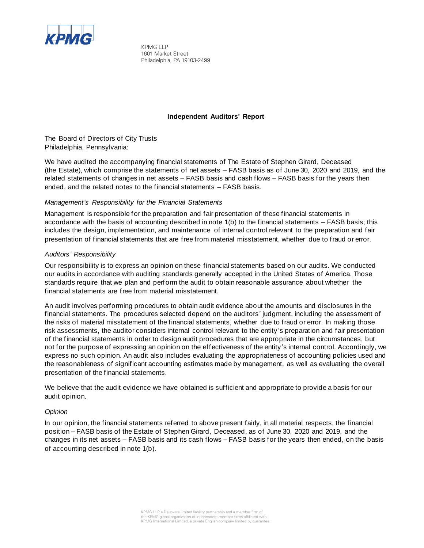

KPMG LLP 1601 Market Street Philadelphia, PA 19103-2499

## **Independent Auditors' Report**

The Board of Directors of City Trusts Philadelphia, Pennsylvania:

We have audited the accompanying financial statements of The Estate of Stephen Girard, Deceased (the Estate), which comprise the statements of net assets – FASB basis as of June 30, 2020 and 2019, and the related statements of changes in net assets – FASB basis and cash flows – FASB basis for the years then ended, and the related notes to the financial statements – FASB basis.

# *Management's Responsibility for the Financial Statements*

Management is responsible for the preparation and fair presentation of these financial statements in accordance with the basis of accounting described in note 1(b) to the financial statements – FASB basis; this includes the design, implementation, and maintenance of internal control relevant to the preparation and fair presentation of financial statements that are free from material misstatement, whether due to fraud or error.

# *Auditors' Responsibility*

Our responsibility is to express an opinion on these financial statements based on our audits. We conducted our audits in accordance with auditing standards generally accepted in the United States of America. Those standards require that we plan and perform the audit to obtain reasonable assurance about whether the financial statements are free from material misstatement.

An audit involves performing procedures to obtain audit evidence about the amounts and disclosures in the financial statements. The procedures selected depend on the auditors ' judgment, including the assessment of the risks of material misstatement of the financial statements, whether due to fraud or error. In making those risk assessments, the auditor considers internal control relevant to the entity 's preparation and fair presentation of the financial statements in order to design audit procedures that are appropriate in the circumstances, but not for the purpose of expressing an opinion on the effectiveness of the entity 's internal control. Accordingly, we express no such opinion. An audit also includes evaluating the appropriateness of accounting policies used and the reasonableness of significant accounting estimates made by management, as well as evaluating the overall presentation of the financial statements.

We believe that the audit evidence we have obtained is sufficient and appropriate to provide a basis for our audit opinion.

#### *Opinion*

In our opinion, the financial statements referred to above present fairly, in all material respects, the financial position – FASB basis of the Estate of Stephen Girard, Deceased, as of June 30, 2020 and 2019, and the changes in its net assets – FASB basis and its cash flows – FASB basis for the years then ended, on the basis of accounting described in note 1(b).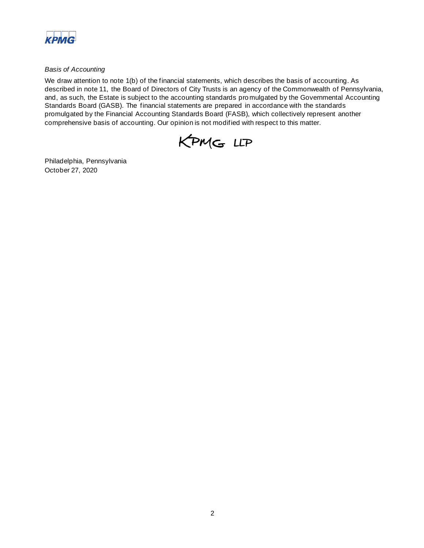

#### *Basis of Accounting*

We draw attention to note 1(b) of the financial statements, which describes the basis of accounting. As described in note 11, the Board of Directors of City Trusts is an agency of the Commonwealth of Pennsylvania, and, as such, the Estate is subject to the accounting standards pro mulgated by the Governmental Accounting Standards Board (GASB). The financial statements are prepared in accordance with the standards promulgated by the Financial Accounting Standards Board (FASB), which collectively represent another comprehensive basis of accounting. Our opinion is not modified with respect to this matter.



Philadelphia, Pennsylvania October 27, 2020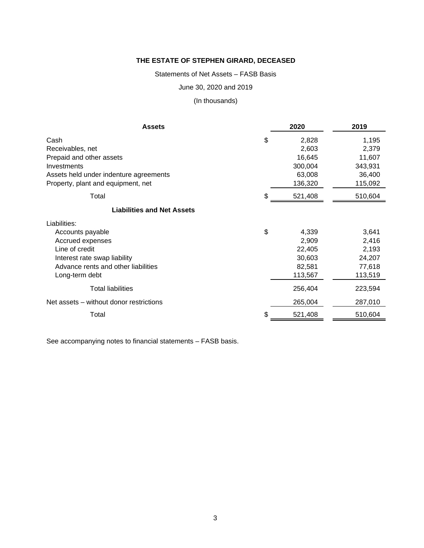Statements of Net Assets – FASB Basis

June 30, 2020 and 2019

(In thousands)

| <b>Assets</b>                           | 2020          | 2019    |
|-----------------------------------------|---------------|---------|
| Cash                                    | \$<br>2,828   | 1,195   |
| Receivables, net                        | 2,603         | 2,379   |
| Prepaid and other assets                | 16,645        | 11,607  |
| Investments                             | 300,004       | 343,931 |
| Assets held under indenture agreements  | 63,008        | 36,400  |
| Property, plant and equipment, net      | 136,320       | 115,092 |
| Total                                   | \$<br>521,408 | 510,604 |
| <b>Liabilities and Net Assets</b>       |               |         |
| Liabilities:                            |               |         |
| Accounts payable                        | \$<br>4,339   | 3,641   |
| Accrued expenses                        | 2,909         | 2,416   |
| Line of credit                          | 22,405        | 2,193   |
| Interest rate swap liability            | 30,603        | 24,207  |
| Advance rents and other liabilities     | 82,581        | 77,618  |
| Long-term debt                          | 113,567       | 113,519 |
| <b>Total liabilities</b>                | 256,404       | 223,594 |
| Net assets – without donor restrictions | 265,004       | 287,010 |
| Total                                   | \$<br>521,408 | 510,604 |

See accompanying notes to financial statements – FASB basis.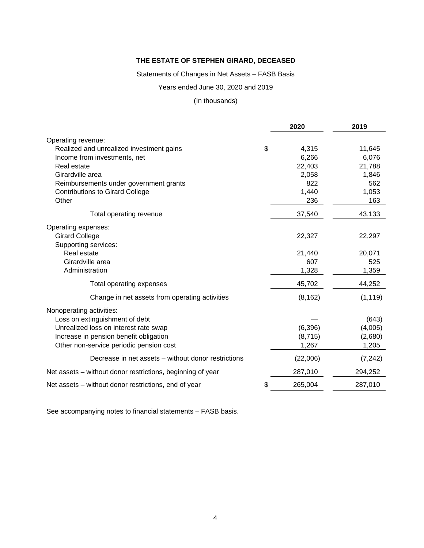Statements of Changes in Net Assets – FASB Basis

# Years ended June 30, 2020 and 2019

# (In thousands)

|                                                            | 2020          | 2019     |
|------------------------------------------------------------|---------------|----------|
| Operating revenue:                                         |               |          |
| Realized and unrealized investment gains                   | \$<br>4,315   | 11,645   |
| Income from investments, net                               | 6,266         | 6,076    |
| Real estate                                                | 22,403        | 21,788   |
| Girardville area                                           | 2,058         | 1,846    |
| Reimbursements under government grants                     | 822           | 562      |
| <b>Contributions to Girard College</b>                     | 1,440         | 1,053    |
| Other                                                      | 236           | 163      |
| Total operating revenue                                    | 37,540        | 43,133   |
| Operating expenses:                                        |               |          |
| <b>Girard College</b>                                      | 22,327        | 22,297   |
| Supporting services:                                       |               |          |
| Real estate                                                | 21,440        | 20,071   |
| Girardville area                                           | 607           | 525      |
| Administration                                             | 1,328         | 1,359    |
| Total operating expenses                                   | 45,702        | 44,252   |
| Change in net assets from operating activities             | (8, 162)      | (1, 119) |
| Nonoperating activities:                                   |               |          |
| Loss on extinguishment of debt                             |               | (643)    |
| Unrealized loss on interest rate swap                      | (6, 396)      | (4,005)  |
| Increase in pension benefit obligation                     | (8,715)       | (2,680)  |
| Other non-service periodic pension cost                    | 1,267         | 1,205    |
| Decrease in net assets – without donor restrictions        | (22,006)      | (7, 242) |
| Net assets – without donor restrictions, beginning of year | 287,010       | 294,252  |
| Net assets – without donor restrictions, end of year       | \$<br>265,004 | 287,010  |

See accompanying notes to financial statements – FASB basis.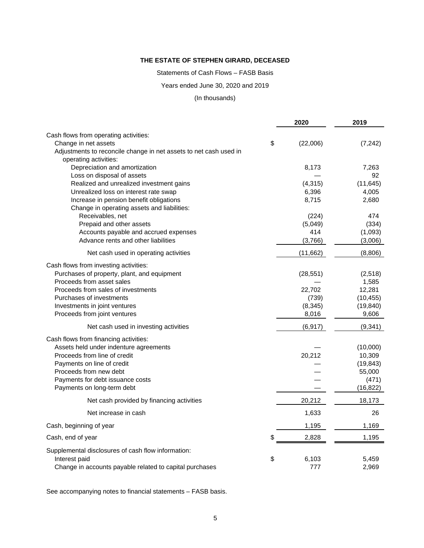Statements of Cash Flows – FASB Basis

Years ended June 30, 2020 and 2019

# (In thousands)

|                                                                   | 2020           | 2019      |
|-------------------------------------------------------------------|----------------|-----------|
| Cash flows from operating activities:                             |                |           |
| Change in net assets                                              | \$<br>(22,006) | (7, 242)  |
| Adjustments to reconcile change in net assets to net cash used in |                |           |
| operating activities:                                             |                |           |
| Depreciation and amortization                                     | 8,173          | 7,263     |
| Loss on disposal of assets                                        |                | 92        |
| Realized and unrealized investment gains                          | (4, 315)       | (11, 645) |
| Unrealized loss on interest rate swap                             | 6,396          | 4,005     |
| Increase in pension benefit obligations                           | 8,715          | 2,680     |
| Change in operating assets and liabilities:                       |                |           |
| Receivables, net                                                  | (224)          | 474       |
| Prepaid and other assets                                          | (5,049)        | (334)     |
| Accounts payable and accrued expenses                             | 414            | (1,093)   |
| Advance rents and other liabilities                               | (3,766)        | (3,006)   |
| Net cash used in operating activities                             | (11,662)       | (8,806)   |
| Cash flows from investing activities:                             |                |           |
| Purchases of property, plant, and equipment                       | (28, 551)      | (2,518)   |
| Proceeds from asset sales                                         |                | 1,585     |
| Proceeds from sales of investments                                | 22,702         | 12,281    |
| Purchases of investments                                          | (739)          | (10, 455) |
| Investments in joint ventures                                     | (8, 345)       | (19, 840) |
| Proceeds from joint ventures                                      | 8,016          | 9,606     |
| Net cash used in investing activities                             | (6, 917)       | (9, 341)  |
| Cash flows from financing activities:                             |                |           |
| Assets held under indenture agreements                            |                | (10,000)  |
| Proceeds from line of credit                                      | 20,212         | 10,309    |
| Payments on line of credit                                        |                | (19, 843) |
| Proceeds from new debt                                            |                | 55,000    |
| Payments for debt issuance costs                                  |                | (471)     |
| Payments on long-term debt                                        |                | (16, 822) |
| Net cash provided by financing activities                         | 20,212         | 18,173    |
| Net increase in cash                                              | 1,633          | 26        |
| Cash, beginning of year                                           | 1,195          | 1,169     |
| Cash, end of year                                                 | \$<br>2,828    | 1,195     |
| Supplemental disclosures of cash flow information:                |                |           |
| Interest paid                                                     | \$<br>6,103    | 5,459     |
| Change in accounts payable related to capital purchases           | 777            | 2,969     |

See accompanying notes to financial statements – FASB basis.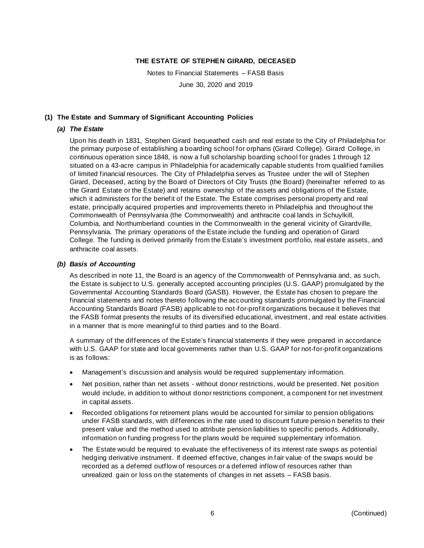Notes to Financial Statements – FASB Basis

June 30, 2020 and 2019

# **(1) The Estate and Summary of Significant Accounting Policies**

#### *(a) The Estate*

Upon his death in 1831, Stephen Girard bequeathed cash and real estate to the City of Philadelphia for the primary purpose of establishing a boarding school for orphans (Girard College). Girard College, in continuous operation since 1848, is now a full scholarship boarding school for grades 1 through 12 situated on a 43-acre campus in Philadelphia for academically capable students from qualified families of limited financial resources. The City of Philadelphia serves as Trustee under the will of Stephen Girard, Deceased, acting by the Board of Directors of City Trusts (the Board) (hereinafter referred to as the Girard Estate or the Estate) and retains ownership of the assets and obligations of the Estate, which it administers for the benefit of the Estate. The Estate comprises personal property and real estate, principally acquired properties and improvements thereto in Philadelphia and throughout the Commonwealth of Pennsylvania (the Commonwealth) and anthracite coal lands in Schuylkill, Columbia, and Northumberland counties in the Commonwealth in the general vicinity of Girardville, Pennsylvania. The primary operations of the Estate include the funding and operation of Girard College. The funding is derived primarily from the Estate's investment portfolio, real estate assets, and anthracite coal assets.

#### *(b) Basis of Accounting*

As described in note 11, the Board is an agency of the Commonwealth of Pennsylvania and, as such, the Estate is subject to U.S. generally accepted accounting principles (U.S. GAAP) promulgated by the Governmental Accounting Standards Board (GASB). However, the Estate has chosen to prepare the financial statements and notes thereto following the accounting standards promulgated by the Financial Accounting Standards Board (FASB) applicable to not-for-profit organizations because it believes that the FASB format presents the results of its diversified educational, investment, and real estate activities in a manner that is more meaningful to third parties and to the Board.

A summary of the differences of the Estate's financial statements if they were prepared in accordance with U.S. GAAP for state and local governments rather than U.S. GAAP for not-for-profit organizations is as follows:

- Management's discussion and analysis would be required supplementary information.
- Net position, rather than net assets without donor restrictions, would be presented. Net position would include, in addition to without donor restrictions component, a component for net investment in capital assets.
- Recorded obligations for retirement plans would be accounted for similar to pension obligations under FASB standards, with differences in the rate used to discount future pensio n benefits to their present value and the method used to attribute pension liabilities to specific periods. Additionally, information on funding progress for the plans would be required supplementary information.
- The Estate would be required to evaluate the effectiveness of its interest rate swaps as potential hedging derivative instrument. If deemed effective, changes in fair value of the swaps would be recorded as a deferred outflow of resources or a deferred inflow of resources rather than unrealized gain or loss on the statements of changes in net assets – FASB basis.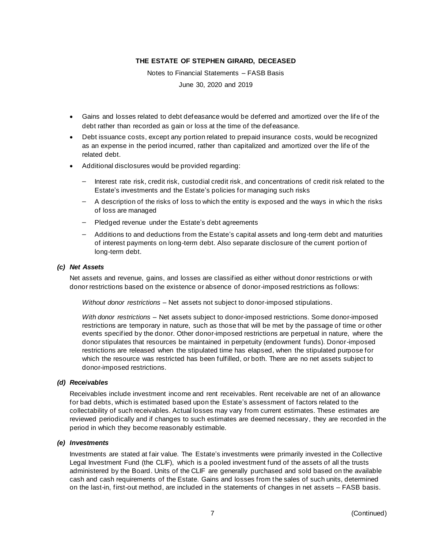Notes to Financial Statements – FASB Basis

June 30, 2020 and 2019

- Gains and losses related to debt defeasance would be deferred and amortized over the life of the debt rather than recorded as gain or loss at the time of the defeasance.
- Debt issuance costs, except any portion related to prepaid insurance costs, would be recognized as an expense in the period incurred, rather than capitalized and amortized over the life of the related debt.
- Additional disclosures would be provided regarding:
	- Interest rate risk, credit risk, custodial credit risk, and concentrations of credit risk related to the Estate's investments and the Estate's policies for managing such risks
	- A description of the risks of loss to which the entity is exposed and the ways in whic h the risks of loss are managed
	- Pledged revenue under the Estate's debt agreements
	- Additions to and deductions from the Estate's capital assets and long-term debt and maturities of interest payments on long-term debt. Also separate disclosure of the current portion of long-term debt.

#### *(c) Net Assets*

Net assets and revenue, gains, and losses are classified as either without donor restrictions or with donor restrictions based on the existence or absence of donor-imposed restrictions as follows:

*Without donor restrictions* – Net assets not subject to donor-imposed stipulations.

*With donor restrictions* – Net assets subject to donor-imposed restrictions. Some donor-imposed restrictions are temporary in nature, such as those that will be met by the passage of time or other events specified by the donor. Other donor-imposed restrictions are perpetual in nature, where the donor stipulates that resources be maintained in perpetuity (endowment funds). Donor-imposed restrictions are released when the stipulated time has elapsed, when the stipulated purpose for which the resource was restricted has been fulfilled, or both. There are no net assets subject to donor-imposed restrictions.

#### *(d) Receivables*

Receivables include investment income and rent receivables. Rent receivable are net of an allowance for bad debts, which is estimated based upon the Estate's assessment of factors related to the collectability of such receivables. Actual losses may vary from current estimates. These estimates are reviewed periodically and if changes to such estimates are deemed necessary, they are recorded in the period in which they become reasonably estimable.

#### *(e) Investments*

Investments are stated at fair value. The Estate's investments were primarily invested in the Collective Legal Investment Fund (the CLIF), which is a pooled investment fund of the assets of all the trusts administered by the Board. Units of the CLIF are generally purchased and sold based on the available cash and cash requirements of the Estate. Gains and losses from the sales of such units, determined on the last-in, first-out method, are included in the statements of changes in net assets – FASB basis.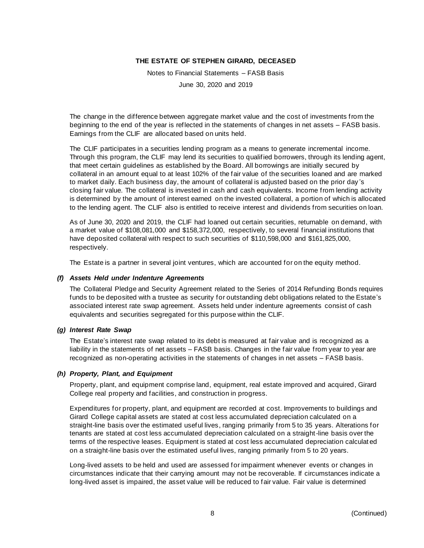Notes to Financial Statements – FASB Basis

June 30, 2020 and 2019

The change in the difference between aggregate market value and the cost of investments from the beginning to the end of the year is reflected in the statements of changes in net assets – FASB basis. Earnings from the CLIF are allocated based on units held.

The CLIF participates in a securities lending program as a means to generate incremental income. Through this program, the CLIF may lend its securities to qualified borrowers, through its lending agent, that meet certain guidelines as established by the Board. All borrowings are initially secured by collateral in an amount equal to at least 102% of the fair value of the securities loaned and are marked to market daily. Each business day, the amount of collateral is adjusted based on the prior day 's closing fair value. The collateral is invested in cash and cash equivalents. Income from lending activity is determined by the amount of interest earned on the invested collateral, a portion of which is allocated to the lending agent. The CLIF also is entitled to receive interest and dividends from securities on loan.

As of June 30, 2020 and 2019, the CLIF had loaned out certain securities, returnable on demand, with a market value of \$108,081,000 and \$158,372,000, respectively, to several financial institutions that have deposited collateral with respect to such securities of \$110,598,000 and \$161,825,000, respectively.

The Estate is a partner in several joint ventures, which are accounted for on the equity method.

#### *(f) Assets Held under Indenture Agreements*

The Collateral Pledge and Security Agreement related to the Series of 2014 Refunding Bonds requires funds to be deposited with a trustee as security for outstanding debt obligations related to the Estate's associated interest rate swap agreement. Assets held under indenture agreements consist of cash equivalents and securities segregated for this purpose within the CLIF.

#### *(g) Interest Rate Swap*

The Estate's interest rate swap related to its debt is measured at fair value and is recognized as a liability in the statements of net assets – FASB basis. Changes in the fair value from year to year are recognized as non-operating activities in the statements of changes in net assets – FASB basis.

#### *(h) Property, Plant, and Equipment*

Property, plant, and equipment comprise land, equipment, real estate improved and acquired, Girard College real property and facilities, and construction in progress.

Expenditures for property, plant, and equipment are recorded at cost. Improvements to buildings and Girard College capital assets are stated at cost less accumulated depreciation calculated on a straight-line basis over the estimated useful lives, ranging primarily from 5 to 35 years. Alterations for tenants are stated at cost less accumulated depreciation calculated on a straight-line basis over the terms of the respective leases. Equipment is stated at cost less accumulated depreciation calculat ed on a straight-line basis over the estimated useful lives, ranging primarily from 5 to 20 years.

Long-lived assets to be held and used are assessed for impairment whenever events or changes in circumstances indicate that their carrying amount may not be recoverable. If circumstances indicate a long-lived asset is impaired, the asset value will be reduced to fair value. Fair value is determined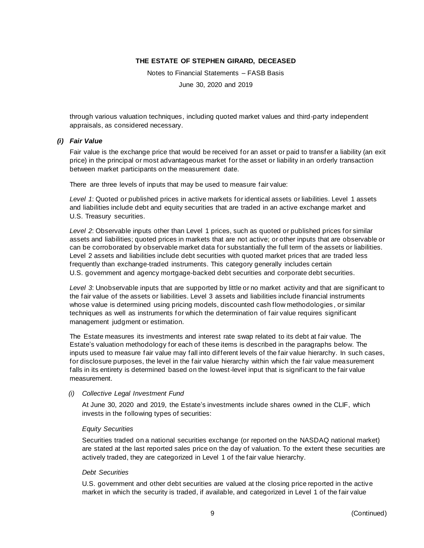Notes to Financial Statements – FASB Basis

June 30, 2020 and 2019

through various valuation techniques, including quoted market values and third-party independent appraisals, as considered necessary.

#### *(i) Fair Value*

Fair value is the exchange price that would be received for an asset or paid to transfer a liability (an exit price) in the principal or most advantageous market for the asset or liability in an orderly transaction between market participants on the measurement date.

There are three levels of inputs that may be used to measure fair value:

*Level 1*: Quoted or published prices in active markets for identical assets or liabilities. Level 1 assets and liabilities include debt and equity securities that are traded in an active exchange market and U.S. Treasury securities.

*Level 2*: Observable inputs other than Level 1 prices, such as quoted or published prices for similar assets and liabilities; quoted prices in markets that are not active; or other inputs that are observable or can be corroborated by observable market data for substantially the full term of the assets or liabilities. Level 2 assets and liabilities include debt securities with quoted market prices that are traded less frequently than exchange-traded instruments. This category generally includes certain U.S. government and agency mortgage-backed debt securities and corporate debt securities.

*Level 3*: Unobservable inputs that are supported by little or no market activity and that are significant to the fair value of the assets or liabilities. Level 3 assets and liabilities include financial instruments whose value is determined using pricing models, discounted cash flow methodologies , or similar techniques as well as instruments for which the determination of fair value requires significant management judgment or estimation.

The Estate measures its investments and interest rate swap related to its debt at fair value. The Estate's valuation methodology for each of these items is described in the paragraphs below. The inputs used to measure fair value may fall into different levels of the fair value hierarchy. In such cases, for disclosure purposes, the level in the fair value hierarchy within which the fair value measurement falls in its entirety is determined based on the lowest-level input that is significant to the fair value measurement.

#### *(i) Collective Legal Investment Fund*

At June 30, 2020 and 2019, the Estate's investments include shares owned in the CLIF, which invests in the following types of securities:

#### *Equity Securities*

Securities traded on a national securities exchange (or reported on the NASDAQ national market) are stated at the last reported sales price on the day of valuation. To the extent these securities are actively traded, they are categorized in Level 1 of the fair value hierarchy.

#### *Debt Securities*

U.S. government and other debt securities are valued at the closing price reported in the active market in which the security is traded, if available, and categorized in Level 1 of the fair value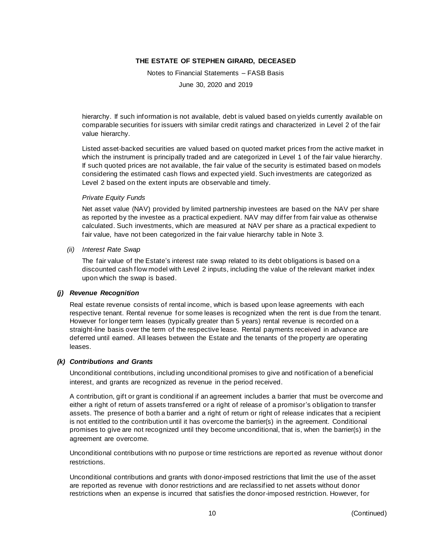Notes to Financial Statements – FASB Basis

June 30, 2020 and 2019

hierarchy. If such information is not available, debt is valued based on yields currently available on comparable securities for issuers with similar credit ratings and characterized in Level 2 of the fair value hierarchy.

Listed asset-backed securities are valued based on quoted market prices from the active market in which the instrument is principally traded and are categorized in Level 1 of the fair value hierarchy. If such quoted prices are not available, the fair value of the security is estimated based on models considering the estimated cash flows and expected yield. Such investments are categorized as Level 2 based on the extent inputs are observable and timely.

#### *Private Equity Funds*

Net asset value (NAV) provided by limited partnership investees are based on the NAV per share as reported by the investee as a practical expedient. NAV may differ from fair value as otherwise calculated. Such investments, which are measured at NAV per share as a practical expedient to fair value, have not been categorized in the fair value hierarchy table in Note 3.

#### *(ii) Interest Rate Swap*

The fair value of the Estate's interest rate swap related to its debt obligations is based on a discounted cash flow model with Level 2 inputs, including the value of the relevant market index upon which the swap is based.

#### *(j) Revenue Recognition*

Real estate revenue consists of rental income, which is based upon lease agreements with each respective tenant. Rental revenue for some leases is recognized when the rent is due from the tenant. However for longer term leases (typically greater than 5 years) rental revenue is recorded on a straight-line basis over the term of the respective lease. Rental payments received in advance are deferred until earned. All leases between the Estate and the tenants of the property are operating leases.

# *(k) Contributions and Grants*

Unconditional contributions, including unconditional promises to give and notification of a beneficial interest, and grants are recognized as revenue in the period received.

A contribution, gift or grant is conditional if an agreement includes a barrier that must be overcome and either a right of return of assets transferred or a right of release of a promisor's obligation to transfer assets. The presence of both a barrier and a right of return or right of release indicates that a recipient is not entitled to the contribution until it has overcome the barrier(s) in the agreement. Conditional promises to give are not recognized until they become unconditional, that is, when the barrier(s) in the agreement are overcome.

Unconditional contributions with no purpose or time restrictions are reported as revenue without donor restrictions.

Unconditional contributions and grants with donor-imposed restrictions that limit the use of the asset are reported as revenue with donor restrictions and are reclassified to net assets without donor restrictions when an expense is incurred that satisfies the donor-imposed restriction. However, for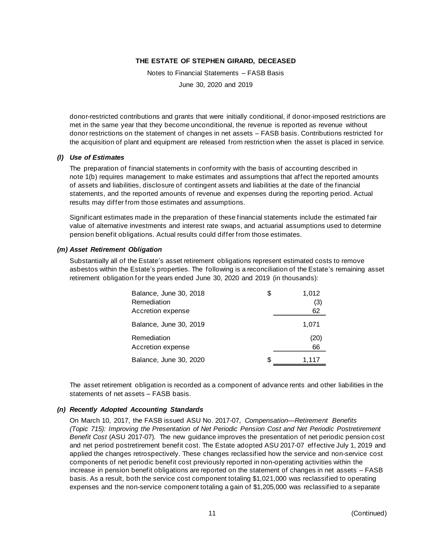Notes to Financial Statements – FASB Basis

June 30, 2020 and 2019

donor-restricted contributions and grants that were initially conditional, if donor-imposed restrictions are met in the same year that they become unconditional, the revenue is reported as revenue without donor restrictions on the statement of changes in net assets – FASB basis. Contributions restricted for the acquisition of plant and equipment are released from restriction when the asset is placed in service.

# *(l) Use of Estimates*

The preparation of financial statements in conformity with the basis of accounting described in note 1(b) requires management to make estimates and assumptions that affect the reported amounts of assets and liabilities, disclosure of contingent assets and liabilities at the date of the financial statements, and the reported amounts of revenue and expenses during the reporting period. Actual results may differ from those estimates and assumptions.

Significant estimates made in the preparation of these financial statements include the estimated fair value of alternative investments and interest rate swaps, and actuarial assumptions used to determine pension benefit obligations. Actual results could differ from those estimates.

#### *(m) Asset Retirement Obligation*

Substantially all of the Estate's asset retirement obligations represent estimated costs to remove asbestos within the Estate's properties. The following is a reconciliation of the Estate's remaining asset retirement obligation for the years ended June 30, 2020 and 2019 (in thousands):

| Balance, June 30, 2018 |   | 1.012 |
|------------------------|---|-------|
| Remediation            |   | (3)   |
| Accretion expense      |   | 62    |
| Balance, June 30, 2019 |   | 1,071 |
| Remediation            |   | (20)  |
| Accretion expense      |   | 66    |
| Balance, June 30, 2020 | S | 1.117 |

The asset retirement obligation is recorded as a component of advance rents and other liabilities in the statements of net assets – FASB basis.

#### *(n) Recently Adopted Accounting Standards*

On March 10, 2017, the FASB issued ASU No. 2017-07, *Compensation—Retirement Benefits (Topic 715): Improving the Presentation of Net Periodic Pension Cost and Net Periodic Postretirement Benefit Cost* (ASU 2017-07). The new guidance improves the presentation of net periodic pension cost and net period postretirement benefit cost. The Estate adopted ASU 2017-07 effective July 1, 2019 and applied the changes retrospectively. These changes reclassified how the service and non-service cost components of net periodic benefit cost previously reported in non-operating activities within the increase in pension benefit obligations are reported on the statement of changes in net assets – FASB basis. As a result, both the service cost component totaling \$1,021,000 was reclassified to operating expenses and the non-service component totaling a gain of \$1,205,000 was reclassified to a separate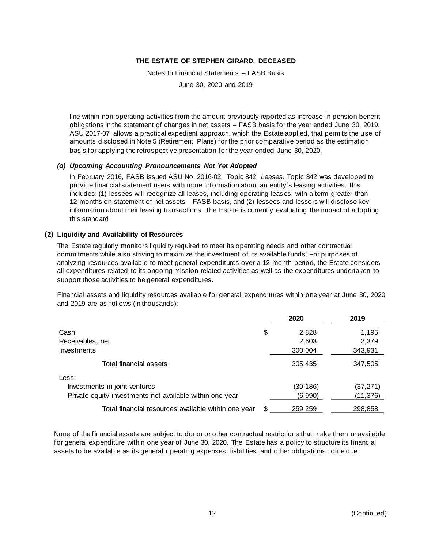Notes to Financial Statements – FASB Basis

June 30, 2020 and 2019

line within non-operating activities from the amount previously reported as increase in pension benefit obligations in the statement of changes in net assets – FASB basis for the year ended June 30, 2019. ASU 2017-07 allows a practical expedient approach, which the Estate applied, that permits the use of amounts disclosed in Note 5 (Retirement Plans) for the prior comparative period as the estimation basis for applying the retrospective presentation for the year ended June 30, 2020.

#### *(o) Upcoming Accounting Pronouncements Not Yet Adopted*

In February 2016, FASB issued ASU No. 2016-02, Topic 842*, Leases*. Topic 842 was developed to provide financial statement users with more information about an entity 's leasing activities. This includes: (1) lessees will recognize all leases, including operating leases, with a term greater than 12 months on statement of net assets – FASB basis, and (2) lessees and lessors will disclose key information about their leasing transactions. The Estate is currently evaluating the impact of adopting this standard.

#### **(2) Liquidity and Availability of Resources**

The Estate regularly monitors liquidity required to meet its operating needs and other contractual commitments while also striving to maximize the investment of its available funds. For purposes of analyzing resources available to meet general expenditures over a 12-month period, the Estate considers all expenditures related to its ongoing mission-related activities as well as the expenditures undertaken to support those activities to be general expenditures.

Financial assets and liquidity resources available for general expenditures within one year at June 30, 2020 and 2019 are as follows (in thousands):

|                                                          |     | 2020      | 2019      |
|----------------------------------------------------------|-----|-----------|-----------|
| Cash                                                     | \$  | 2,828     | 1,195     |
| Receivables, net                                         |     | 2,603     | 2,379     |
| Investments                                              |     | 300,004   | 343,931   |
| Total financial assets                                   |     | 305,435   | 347,505   |
| Less:                                                    |     |           |           |
| Investments in joint ventures                            |     | (39, 186) | (37, 271) |
| Private equity investments not available within one year |     | (6,990)   | (11,376)  |
| Total financial resources available within one year      | \$. | 259,259   | 298,858   |

None of the financial assets are subject to donor or other contractual restrictions that make them unavailable for general expenditure within one year of June 30, 2020. The Estate has a policy to structure its financial assets to be available as its general operating expenses, liabilities, and other obligations come due.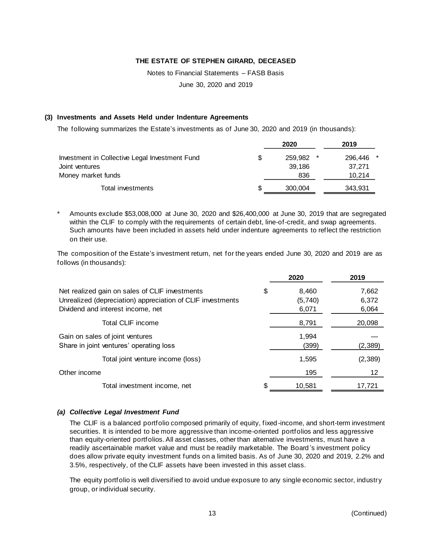Notes to Financial Statements – FASB Basis

June 30, 2020 and 2019

#### **(3) Investments and Assets Held under Indenture Agreements**

The following summarizes the Estate's investments as of June 30, 2020 and 2019 (in thousands):

|                                                |     | 2020    | 2019      |
|------------------------------------------------|-----|---------|-----------|
| Investment in Collective Legal Investment Fund | \$. | 259.982 | 296.446 * |
| Joint ventures                                 |     | 39.186  | 37.271    |
| Money market funds                             |     | 836     | 10.214    |
| Total investments                              |     | 300,004 | 343,931   |

Amounts exclude \$53,008,000 at June 30, 2020 and \$26,400,000 at June 30, 2019 that are segregated within the CLIF to comply with the requirements of certain debt, line-of-credit, and swap agreements. Such amounts have been included in assets held under indenture agreements to reflect the restriction on their use.

The composition of the Estate's investment return, net for the years ended June 30, 2020 and 2019 are as follows (in thousands):

|                                                            | 2020        | 2019    |
|------------------------------------------------------------|-------------|---------|
| Net realized gain on sales of CLIF investments             | \$<br>8.460 | 7,662   |
| Unrealized (depreciation) appreciation of CLIF investments | (5,740)     | 6,372   |
| Dividend and interest income, net                          | 6,071       | 6,064   |
| Total CLIF income                                          | 8,791       | 20,098  |
| Gain on sales of joint ventures                            | 1.994       |         |
| Share in joint ventures' operating loss                    | (399)       | (2,389) |
| Total joint venture income (loss)                          | 1,595       | (2,389) |
| Other income                                               | 195         | 12      |
| Total investment income, net                               | 10,581      | 17,721  |

#### *(a) Collective Legal Investment Fund*

The CLIF is a balanced portfolio composed primarily of equity, fixed -income, and short-term investment securities. It is intended to be more aggressive than income-oriented portfolios and less aggressive than equity-oriented portfolios. All asset classes, other than alternative investments, must have a readily ascertainable market value and must be readily marketable. The Board 's investment policy does allow private equity investment funds on a limited basis. As of June 30, 2020 and 2019, 2.2% and 3.5%, respectively, of the CLIF assets have been invested in this asset class.

The equity portfolio is well diversified to avoid undue exposure to any single economic sector, industry group, or individual security.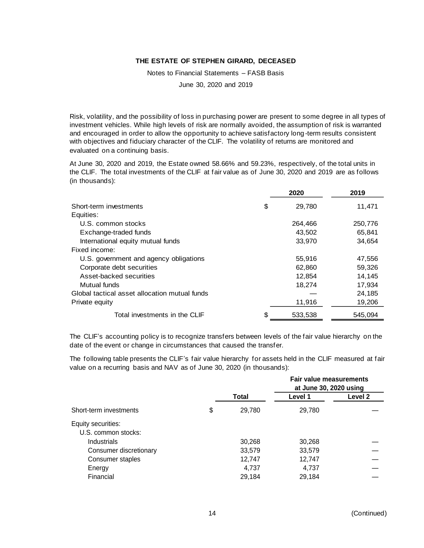Notes to Financial Statements – FASB Basis

June 30, 2020 and 2019

Risk, volatility, and the possibility of loss in purchasing power are present to some degree in all types of investment vehicles. While high levels of risk are normally avoided, the assumption of risk is warranted and encouraged in order to allow the opportunity to achieve satisfactory long -term results consistent with objectives and fiduciary character of the CLIF. The volatility of returns are monitored and evaluated on a continuing basis.

At June 30, 2020 and 2019, the Estate owned 58.66% and 59.23%, respectively, of the total units in the CLIF. The total investments of the CLIF at fair value as of June 30, 2020 and 2019 are as follows (in thousands):

|                                               | 2020          | 2019    |
|-----------------------------------------------|---------------|---------|
| Short-term investments                        | \$<br>29,780  | 11,471  |
| Equities:                                     |               |         |
| U.S. common stocks                            | 264,466       | 250,776 |
| Exchange-traded funds                         | 43,502        | 65,841  |
| International equity mutual funds             | 33,970        | 34,654  |
| Fixed income:                                 |               |         |
| U.S. government and agency obligations        | 55,916        | 47,556  |
| Corporate debt securities                     | 62,860        | 59,326  |
| Asset-backed securities                       | 12,854        | 14,145  |
| Mutual funds                                  | 18.274        | 17.934  |
| Global tactical asset allocation mutual funds |               | 24,185  |
| Private equity                                | 11,916        | 19,206  |
| Total investments in the CLIF                 | \$<br>533,538 | 545.094 |

The CLIF's accounting policy is to recognize transfers between levels of the fair value hierarchy on the date of the event or change in circumstances that caused the transfer.

The following table presents the CLIF's fair value hierarchy for assets held in the CLIF measured at fair value on a recurring basis and NAV as of June 30, 2020 (in thousands):

|                        |              | <b>Fair value measurements</b><br>at June 30, 2020 using |         |
|------------------------|--------------|----------------------------------------------------------|---------|
|                        | <b>Total</b> | Level 1                                                  | Level 2 |
| Short-term investments | \$<br>29,780 | 29,780                                                   |         |
| Equity securities:     |              |                                                          |         |
| U.S. common stocks:    |              |                                                          |         |
| <b>Industrials</b>     | 30,268       | 30,268                                                   |         |
| Consumer discretionary | 33,579       | 33,579                                                   |         |
| Consumer staples       | 12,747       | 12,747                                                   |         |
| Energy                 | 4,737        | 4,737                                                    |         |
| Financial              | 29,184       | 29.184                                                   |         |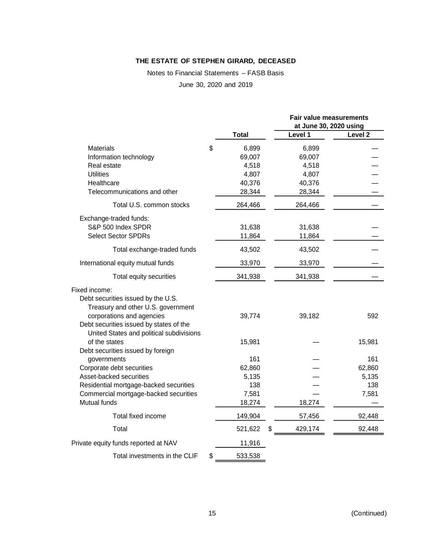Notes to Financial Statements – FASB Basis

June 30, 2020 and 2019

|                                                                                 |               | <b>Fair value measurements</b><br>at June 30, 2020 using |                    |
|---------------------------------------------------------------------------------|---------------|----------------------------------------------------------|--------------------|
|                                                                                 | <b>Total</b>  | Level 1                                                  | Level <sub>2</sub> |
| <b>Materials</b>                                                                | \$<br>6,899   | 6,899                                                    |                    |
| Information technology                                                          | 69,007        | 69,007                                                   |                    |
| Real estate                                                                     | 4,518         | 4,518                                                    |                    |
| <b>Utilities</b>                                                                | 4,807         | 4,807                                                    |                    |
| Healthcare                                                                      | 40,376        | 40,376                                                   |                    |
| Telecommunications and other                                                    | 28,344        | 28,344                                                   |                    |
| Total U.S. common stocks                                                        | 264,466       | 264,466                                                  |                    |
| Exchange-traded funds:                                                          |               |                                                          |                    |
| S&P 500 Index SPDR                                                              | 31,638        | 31,638                                                   |                    |
| <b>Select Sector SPDRs</b>                                                      | 11,864        | 11,864                                                   |                    |
| Total exchange-traded funds                                                     | 43,502        | 43,502                                                   |                    |
| International equity mutual funds                                               | 33,970        | 33,970                                                   |                    |
| Total equity securities                                                         | 341,938       | 341,938                                                  |                    |
| Fixed income:                                                                   |               |                                                          |                    |
| Debt securities issued by the U.S.                                              |               |                                                          |                    |
| Treasury and other U.S. government                                              |               |                                                          |                    |
| corporations and agencies                                                       | 39,774        | 39,182                                                   | 592                |
| Debt securities issued by states of the                                         |               |                                                          |                    |
| United States and political subdivisions                                        |               |                                                          |                    |
| of the states                                                                   | 15,981        |                                                          | 15,981             |
| Debt securities issued by foreign                                               |               |                                                          |                    |
| governments                                                                     | 161           |                                                          | 161                |
| Corporate debt securities                                                       | 62,860        |                                                          | 62,860             |
| Asset-backed securities                                                         | 5,135<br>138  |                                                          | 5,135<br>138       |
| Residential mortgage-backed securities<br>Commercial mortgage-backed securities | 7,581         |                                                          | 7,581              |
| Mutual funds                                                                    | 18,274        | 18,274                                                   |                    |
| Total fixed income                                                              | 149,904       | 57,456                                                   | 92,448             |
|                                                                                 |               |                                                          |                    |
| Total                                                                           | 521,622       | 429,174                                                  | 92,448             |
| Private equity funds reported at NAV                                            | 11,916        |                                                          |                    |
| Total investments in the CLIF                                                   | \$<br>533,538 |                                                          |                    |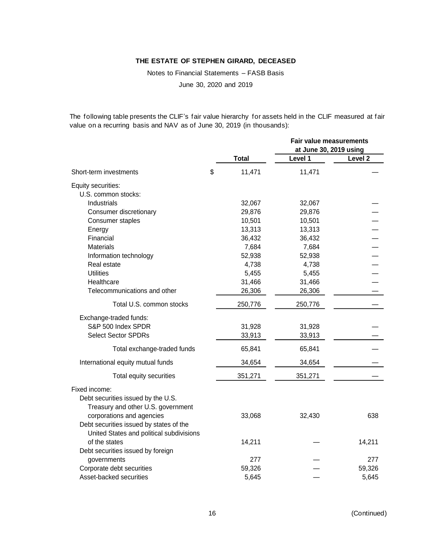Notes to Financial Statements – FASB Basis

June 30, 2020 and 2019

The following table presents the CLIF's fair value hierarchy for assets held in the CLIF measured at fair value on a recurring basis and NAV as of June 30, 2019 (in thousands):

|                                          |    |              | <b>Fair value measurements</b><br>at June 30, 2019 using |                    |
|------------------------------------------|----|--------------|----------------------------------------------------------|--------------------|
|                                          |    | <b>Total</b> | Level 1                                                  | Level <sub>2</sub> |
| Short-term investments                   | \$ | 11,471       | 11,471                                                   |                    |
| Equity securities:                       |    |              |                                                          |                    |
| U.S. common stocks:                      |    |              |                                                          |                    |
| Industrials                              |    | 32,067       | 32,067                                                   |                    |
| Consumer discretionary                   |    | 29,876       | 29,876                                                   |                    |
| Consumer staples                         |    | 10,501       | 10,501                                                   |                    |
| Energy                                   |    | 13,313       | 13,313                                                   |                    |
| Financial                                |    | 36,432       | 36,432                                                   |                    |
| <b>Materials</b>                         |    | 7,684        | 7,684                                                    |                    |
| Information technology                   |    | 52,938       | 52,938                                                   |                    |
| Real estate                              |    | 4,738        | 4,738                                                    |                    |
| <b>Utilities</b>                         |    | 5,455        | 5,455                                                    |                    |
| Healthcare                               |    | 31,466       | 31,466                                                   |                    |
| Telecommunications and other             |    | 26,306       | 26,306                                                   |                    |
| Total U.S. common stocks                 |    | 250,776      | 250,776                                                  |                    |
| Exchange-traded funds:                   |    |              |                                                          |                    |
| S&P 500 Index SPDR                       |    | 31,928       | 31,928                                                   |                    |
| <b>Select Sector SPDRs</b>               |    | 33,913       | 33,913                                                   |                    |
| Total exchange-traded funds              |    | 65,841       | 65,841                                                   |                    |
| International equity mutual funds        |    | 34,654       | 34,654                                                   |                    |
| Total equity securities                  |    | 351,271      | 351,271                                                  |                    |
| Fixed income:                            |    |              |                                                          |                    |
| Debt securities issued by the U.S.       |    |              |                                                          |                    |
| Treasury and other U.S. government       |    |              |                                                          |                    |
| corporations and agencies                |    | 33,068       | 32,430                                                   | 638                |
| Debt securities issued by states of the  |    |              |                                                          |                    |
| United States and political subdivisions |    |              |                                                          |                    |
| of the states                            |    | 14,211       |                                                          | 14,211             |
| Debt securities issued by foreign        |    |              |                                                          |                    |
| governments                              |    | 277          |                                                          | 277                |
| Corporate debt securities                |    | 59,326       |                                                          | 59,326             |
| Asset-backed securities                  |    | 5,645        |                                                          | 5,645              |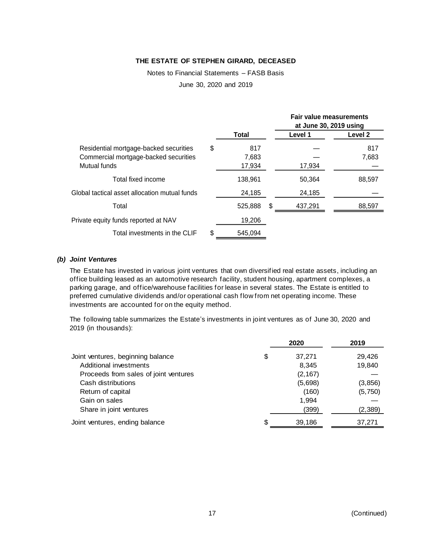Notes to Financial Statements – FASB Basis

June 30, 2020 and 2019

|               |    | <b>Fair value measurements</b><br>at June 30, 2019 using |         |
|---------------|----|----------------------------------------------------------|---------|
| <b>Total</b>  |    | Level 1                                                  | Level 2 |
| \$<br>817     |    |                                                          | 817     |
| 7,683         |    |                                                          | 7,683   |
| 17,934        |    | 17,934                                                   |         |
| 138,961       |    | 50,364                                                   | 88,597  |
| 24,185        |    | 24,185                                                   |         |
| 525,888       | \$ | 437,291                                                  | 88,597  |
| 19,206        |    |                                                          |         |
| \$<br>545,094 |    |                                                          |         |
|               |    |                                                          |         |

#### *(b) Joint Ventures*

The Estate has invested in various joint ventures that own diversified real estate assets, including an office building leased as an automotive research facility, student housing, apartment complexes, a parking garage, and office/warehouse facilities for lease in several states. The Estate is entitled to preferred cumulative dividends and/or operational cash flow from net operating income. These investments are accounted for on the equity method.

The following table summarizes the Estate's investments in joint ventures as of June 30, 2020 and 2019 (in thousands):

|                                       |    | 2020     | 2019     |
|---------------------------------------|----|----------|----------|
| Joint ventures, beginning balance     | \$ | 37,271   | 29,426   |
| Additional investments                |    | 8.345    | 19,840   |
| Proceeds from sales of joint ventures |    | (2, 167) |          |
| Cash distributions                    |    | (5,698)  | (3,856)  |
| Return of capital                     |    | (160)    | (5,750)  |
| Gain on sales                         |    | 1.994    |          |
| Share in joint ventures               |    | (399)    | (2, 389) |
| Joint ventures, ending balance        | S  | 39,186   | 37,271   |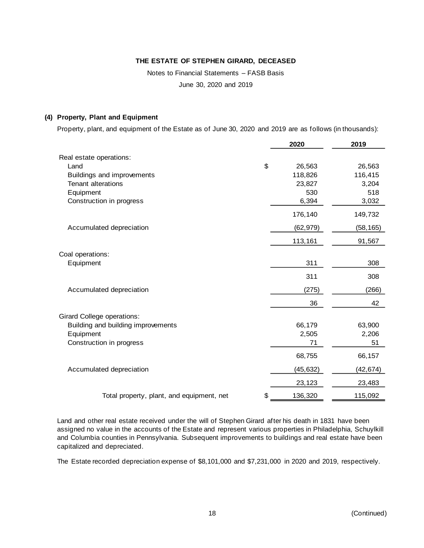Notes to Financial Statements – FASB Basis

June 30, 2020 and 2019

# **(4) Property, Plant and Equipment**

Property, plant, and equipment of the Estate as of June 30, 2020 and 2019 are as follows (in thousands):

|                                           | 2020         | 2019      |
|-------------------------------------------|--------------|-----------|
| Real estate operations:                   |              |           |
| Land                                      | \$<br>26,563 | 26,563    |
| Buildings and improvements                | 118,826      | 116,415   |
| <b>Tenant alterations</b>                 | 23,827       | 3,204     |
| Equipment                                 | 530          | 518       |
| Construction in progress                  | 6,394        | 3,032     |
|                                           | 176,140      | 149,732   |
| Accumulated depreciation                  | (62, 979)    | (58, 165) |
|                                           | 113,161      | 91,567    |
| Coal operations:                          |              |           |
| Equipment                                 | 311          | 308       |
|                                           | 311          | 308       |
| Accumulated depreciation                  | (275)        | (266)     |
|                                           | 36           | 42        |
| <b>Girard College operations:</b>         |              |           |
| Building and building improvements        | 66,179       | 63,900    |
| Equipment                                 | 2,505        | 2,206     |
| Construction in progress                  | 71           | 51        |
|                                           | 68,755       | 66,157    |
| Accumulated depreciation                  | (45, 632)    | (42, 674) |
|                                           | 23,123       | 23,483    |
| Total property, plant, and equipment, net | 136,320      | 115,092   |
|                                           |              |           |

Land and other real estate received under the will of Stephen Girard after his death in 1831 have been assigned no value in the accounts of the Estate and represent various properties in Philadelphia, Schuylkill and Columbia counties in Pennsylvania. Subsequent improvements to buildings and real estate have been capitalized and depreciated.

The Estate recorded depreciation expense of \$8,101,000 and \$7,231,000 in 2020 and 2019, respectively.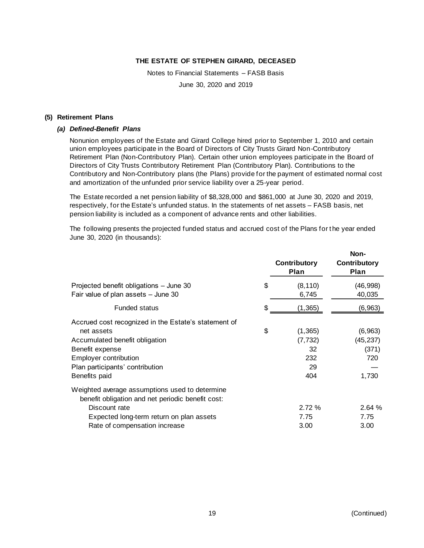Notes to Financial Statements – FASB Basis

June 30, 2020 and 2019

#### **(5) Retirement Plans**

# *(a) Defined-Benefit Plans*

Nonunion employees of the Estate and Girard College hired prior to September 1, 2010 and certain union employees participate in the Board of Directors of City Trusts Girard Non-Contributory Retirement Plan (Non-Contributory Plan). Certain other union employees participate in the Board of Directors of City Trusts Contributory Retirement Plan (Contributory Plan). Contributions to the Contributory and Non-Contributory plans (the Plans) provide for the payment of estimated normal cost and amortization of the unfunded prior service liability over a 25-year period.

The Estate recorded a net pension liability of \$8,328,000 and \$861,000 at June 30, 2020 and 2019, respectively, for the Estate's unfunded status. In the statements of net assets – FASB basis, net pension liability is included as a component of advance rents and other liabilities.

The following presents the projected funded status and accrued cost of the Plans for the year ended June 30, 2020 (in thousands):

|                                                                                                                                                                                                      | <b>Contributory</b><br><b>Plan</b>                   | Non-<br>Contributory<br><b>Plan</b>           |
|------------------------------------------------------------------------------------------------------------------------------------------------------------------------------------------------------|------------------------------------------------------|-----------------------------------------------|
| Projected benefit obligations - June 30<br>Fair value of plan assets - June 30                                                                                                                       | \$<br>(8, 110)<br>6,745                              | (46, 998)<br>40,035                           |
| <b>Funded status</b>                                                                                                                                                                                 | \$<br>(1, 365)                                       | (6,963)                                       |
| Accrued cost recognized in the Estate's statement of<br>net assets<br>Accumulated benefit obligation<br>Benefit expense<br>Employer contribution<br>Plan participants' contribution<br>Benefits paid | \$<br>(1, 365)<br>(7, 732)<br>32<br>232<br>29<br>404 | (6,963)<br>(45, 237)<br>(371)<br>720<br>1,730 |
| Weighted average assumptions used to determine<br>benefit obligation and net periodic benefit cost:<br>Discount rate<br>Expected long-term return on plan assets<br>Rate of compensation increase    | 2.72%<br>7.75<br>3.00                                | 2.64%<br>7.75<br>3.00                         |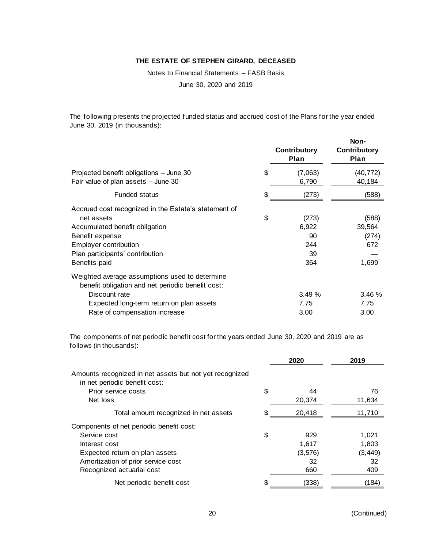Notes to Financial Statements – FASB Basis

June 30, 2020 and 2019

The following presents the projected funded status and accrued cost of the Plans for the year ended June 30, 2019 (in thousands):

|                                                                                                                                                                                                             | <b>Contributory</b><br><b>Plan</b>             | Non-<br>Contributory<br>Plan             |
|-------------------------------------------------------------------------------------------------------------------------------------------------------------------------------------------------------------|------------------------------------------------|------------------------------------------|
| Projected benefit obligations - June 30<br>Fair value of plan assets - June 30                                                                                                                              | \$<br>(7,063)<br>6,790                         | (40, 772)<br>40,184                      |
| <b>Funded status</b>                                                                                                                                                                                        | \$<br>(273)                                    | (588)                                    |
| Accrued cost recognized in the Estate's statement of<br>net assets<br>Accumulated benefit obligation<br>Benefit expense<br><b>Employer contribution</b><br>Plan participants' contribution<br>Benefits paid | \$<br>(273)<br>6,922<br>90<br>244<br>39<br>364 | (588)<br>39,564<br>(274)<br>672<br>1,699 |
| Weighted average assumptions used to determine<br>benefit obligation and net periodic benefit cost:<br>Discount rate<br>Expected long-term return on plan assets<br>Rate of compensation increase           | 3.49%<br>7.75<br>3.00                          | 3.46%<br>7.75<br>3.00                    |

The components of net periodic benefit cost for the years ended June 30, 2020 and 2019 are as follows (in thousands):

|                                                                                          | 2020         | 2019     |
|------------------------------------------------------------------------------------------|--------------|----------|
| Amounts recognized in net assets but not yet recognized<br>in net periodic benefit cost: |              |          |
| Prior service costs                                                                      | \$<br>44     | 76       |
| Net loss                                                                                 | 20,374       | 11,634   |
| Total amount recognized in net assets                                                    | \$<br>20,418 | 11,710   |
| Components of net periodic benefit cost:                                                 |              |          |
| Service cost                                                                             | \$<br>929    | 1,021    |
| Interest cost                                                                            | 1,617        | 1,803    |
| Expected return on plan assets                                                           | (3,576)      | (3, 449) |
| Amortization of prior service cost                                                       | 32           | 32       |
| Recognized actuarial cost                                                                | 660          | 409      |
| Net periodic benefit cost                                                                | \$<br>(338)  | (184)    |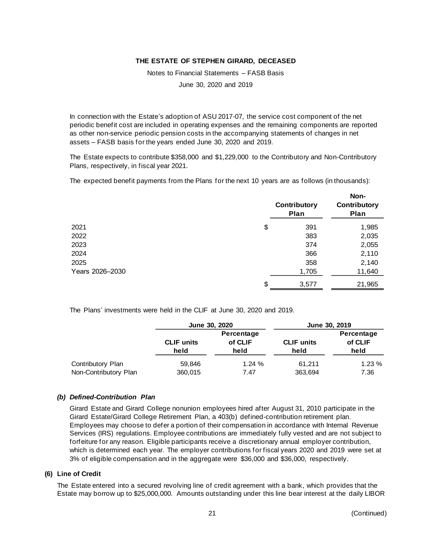Notes to Financial Statements – FASB Basis

June 30, 2020 and 2019

In connection with the Estate's adoption of ASU 2017-07, the service cost component of the net periodic benefit cost are included in operating expenses and the remaining components are reported as other non-service periodic pension costs in the accompanying statements of changes in net assets – FASB basis for the years ended June 30, 2020 and 2019.

The Estate expects to contribute \$358,000 and \$1,229,000 to the Contributory and Non-Contributory Plans, respectively, in fiscal year 2021.

The expected benefit payments from the Plans for the next 10 years are as follows (in thousands):

|                 | <b>Contributory</b><br>Plan | Non-<br><b>Contributory</b><br>Plan |
|-----------------|-----------------------------|-------------------------------------|
| 2021            | \$<br>391                   | 1,985                               |
| 2022            | 383                         | 2,035                               |
| 2023            | 374                         | 2,055                               |
| 2024            | 366                         | 2,110                               |
| 2025            | 358                         | 2,140                               |
| Years 2026-2030 | 1,705                       | 11,640                              |
|                 | \$<br>3,577                 | 21,965                              |

The Plans' investments were held in the CLIF at June 30, 2020 and 2019.

|                       | June 30, 2020             |                               | June 30, 2019             |                               |  |
|-----------------------|---------------------------|-------------------------------|---------------------------|-------------------------------|--|
|                       | <b>CLIF</b> units<br>held | Percentage<br>of CLIF<br>held | <b>CLIF units</b><br>held | Percentage<br>of CLIF<br>held |  |
| Contributory Plan     | 59.846                    | 1.24%                         | 61.211                    | 1.23%                         |  |
| Non-Contributory Plan | 360,015                   | 7.47                          | 363,694                   | 7.36                          |  |

#### *(b) Defined-Contribution Plan*

Girard Estate and Girard College nonunion employees hired after August 31, 2010 participate in the Girard Estate/Girard College Retirement Plan, a 403(b) defined-contribution retirement plan. Employees may choose to defer a portion of their compensation in accordance with Internal Revenue Services (IRS) regulations. Employee contributions are immediately fully vested and are not subject to forfeiture for any reason. Eligible participants receive a discretionary annual employer contribution, which is determined each year. The employer contributions for fiscal years 2020 and 2019 were set at 3% of eligible compensation and in the aggregate were \$36,000 and \$36,000, respectively.

#### **(6) Line of Credit**

The Estate entered into a secured revolving line of credit agreement with a bank, which provides that the Estate may borrow up to \$25,000,000. Amounts outstanding under this line bear interest at the daily LIBOR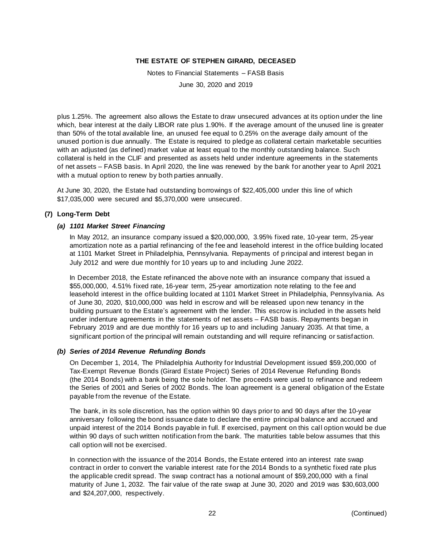Notes to Financial Statements – FASB Basis

June 30, 2020 and 2019

plus 1.25%. The agreement also allows the Estate to draw unsecured advances at its option under the line which, bear interest at the daily LIBOR rate plus 1.90%. If the average amount of the unused line is greater than 50% of the total available line, an unused fee equal to 0.25% on the average daily amount of the unused portion is due annually. The Estate is required to pledge as collateral certain marketable securities with an adjusted (as defined) market value at least equal to the monthly outstanding balance. Such collateral is held in the CLIF and presented as assets held under indenture agreements in the statements of net assets – FASB basis. In April 2020, the line was renewed by the bank for another year to April 2021 with a mutual option to renew by both parties annually.

At June 30, 2020, the Estate had outstanding borrowings of \$22,405,000 under this line of which \$17,035,000 were secured and \$5,370,000 were unsecured.

#### **(7) Long-Term Debt**

#### *(a) 1101 Market Street Financing*

In May 2012, an insurance company issued a \$20,000,000, 3.95% fixed rate, 10-year term, 25-year amortization note as a partial refinancing of the fee and leasehold interest in the office building located at 1101 Market Street in Philadelphia, Pennsylvania. Repayments of p rincipal and interest began in July 2012 and were due monthly for 10 years up to and including June 2022.

In December 2018, the Estate refinanced the above note with an insurance company that issued a \$55,000,000, 4.51% fixed rate, 16-year term, 25-year amortization note relating to the fee and leasehold interest in the office building located at 1101 Market Street in Philadelphia, Pennsylvania. As of June 30, 2020, \$10,000,000 was held in escrow and will be released upon new tenancy in the building pursuant to the Estate's agreement with the lender. This escrow is included in the assets held under indenture agreements in the statements of net assets – FASB basis. Repayments began in February 2019 and are due monthly for 16 years up to and including January 2035. At that time, a significant portion of the principal will remain outstanding and will require refinancing or satisfaction.

#### *(b) Series of 2014 Revenue Refunding Bonds*

On December 1, 2014, The Philadelphia Authority for Industrial Development issued \$59,200,000 of Tax-Exempt Revenue Bonds (Girard Estate Project) Series of 2014 Revenue Refunding Bonds (the 2014 Bonds) with a bank being the sole holder. The proceeds were used to refinance and redeem the Series of 2001 and Series of 2002 Bonds. The loan agreement is a general obligation of the Estate payable from the revenue of the Estate.

The bank, in its sole discretion, has the option within 90 days prior to and 90 days after the 10-year anniversary following the bond issuance date to declare the entire principal balance and accrued and unpaid interest of the 2014 Bonds payable in full. If exercised, payment on this call option would be due within 90 days of such written notification from the bank. The maturities table below assumes that this call option will not be exercised.

In connection with the issuance of the 2014 Bonds, the Estate entered into an interest rate swap contract in order to convert the variable interest rate for the 2014 Bonds to a synthetic fixed rate plus the applicable credit spread. The swap contract has a notional amount of \$59,200,000 with a final maturity of June 1, 2032. The fair value of the rate swap at June 30, 2020 and 2019 was \$30,603,000 and \$24,207,000, respectively.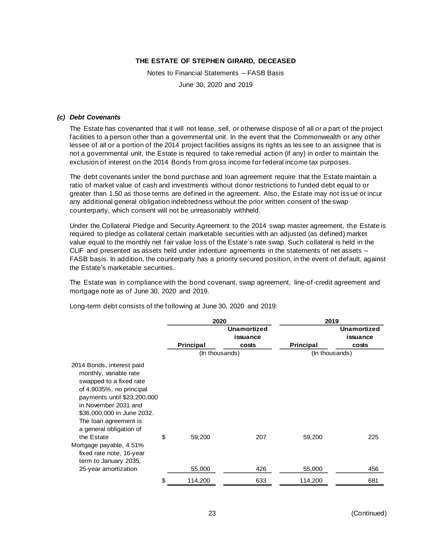Notes to Financial Statements – FASB Basis

June 30, 2020 and 2019

#### *(c) Debt Covenants*

The Estate has covenanted that it will not lease, sell, or otherwise dispose of all or a part of the project facilities to a person other than a governmental unit. In the event that the Commonwealth or any other lessee of all or a portion of the 2014 project facilities assigns its rights as les see to an assignee that is not a governmental unit, the Estate is required to take remedial action (if any) in order to maintain the exclusion of interest on the 2014 Bonds from gross income for federal income tax purposes.

The debt covenants under the bond purchase and loan agreement require that the Estate maintain a ratio of market value of cash and investments without donor restrictions to funded debt equal to or greater than 1.50 as those terms are defined in the agreement. Also, the Estate may not iss ue or incur any additional general obligation indebtedness without the prior written consent of the swap counterparty, which consent will not be unreasonably withheld.

Under the Collateral Pledge and Security Agreement to the 2014 swap master agreement, the Estate is required to pledge as collateral certain marketable securities with an adjusted (as defined) market value equal to the monthly net fair value loss of the Estate's rate swap. Such collateral is held in the CLIF and presented as assets held under indenture agreements in the statements of net assets – FASB basis. In addition, the counterparty has a priority secured position, in the event of default, against the Estate's marketable securities.

The Estate was in compliance with the bond covenant, swap agreement, line-of-credit agreement and mortgage note as of June 30, 2020 and 2019.

|                                                                                                                                                                                                                                                                   | 2020                           |       | 2019             |                                |  |
|-------------------------------------------------------------------------------------------------------------------------------------------------------------------------------------------------------------------------------------------------------------------|--------------------------------|-------|------------------|--------------------------------|--|
|                                                                                                                                                                                                                                                                   | <b>Unamortized</b><br>issuance |       |                  | <b>Unamortized</b><br>issuance |  |
|                                                                                                                                                                                                                                                                   | <b>Principal</b>               | costs | <b>Principal</b> | costs                          |  |
|                                                                                                                                                                                                                                                                   | (In thousands)                 |       | (In thousands)   |                                |  |
| 2014 Bonds, interest paid<br>monthly, variable rate<br>swapped to a fixed rate<br>of 4.9035%, no principal<br>payments until \$23,200,000<br>in November 2031 and<br>\$36,000,000 in June 2032.<br>The loan agreement is<br>a general obligation of<br>the Estate | \$<br>59,200                   | 207   | 59,200           | 225                            |  |
| Mortgage payable, 4.51%<br>fixed rate note, 16-year<br>term to January 2035,                                                                                                                                                                                      |                                |       |                  |                                |  |
| 25-year amortization                                                                                                                                                                                                                                              | 55,000                         | 426   | 55,000           | 456                            |  |
|                                                                                                                                                                                                                                                                   | \$<br>114,200                  | 633   | 114,200          | 681                            |  |

Long-term debt consists of the following at June 30, 2020 and 2019: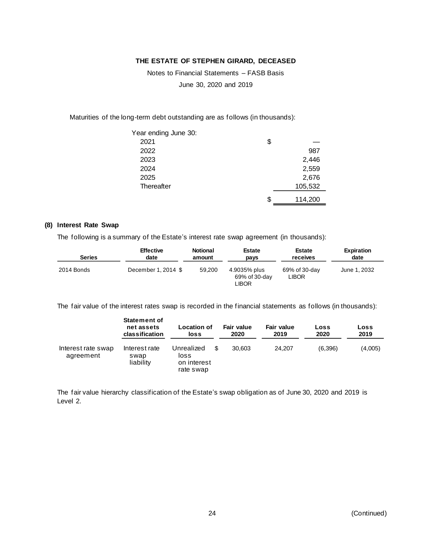Notes to Financial Statements – FASB Basis

June 30, 2020 and 2019

Maturities of the long-term debt outstanding are as follows (in thousands):

| Year ending June 30: |    |         |
|----------------------|----|---------|
| 2021                 | \$ |         |
| 2022                 |    | 987     |
| 2023                 |    | 2,446   |
| 2024                 |    | 2,559   |
| 2025                 |    | 2,676   |
| Thereafter           |    | 105,532 |
|                      | S  | 114,200 |

#### **(8) Interest Rate Swap**

The following is a summary of the Estate's interest rate swap agreement (in thousands):

| <b>Series</b> | <b>Effective</b>    | <b>Notional</b> | <b>Estate</b>                          | <b>Estate</b>          | Expiration   |
|---------------|---------------------|-----------------|----------------------------------------|------------------------|--------------|
|               | date                | amount          | pays                                   | receives               | date         |
| 2014 Bonds    | December 1, 2014 \$ | 59.200          | 4.9035% plus<br>69% of 30-day<br>LIBOR | 69% of 30-day<br>LIBOR | June 1, 2032 |

The fair value of the interest rates swap is recorded in the financial statements as follows (in thousands):

|                                 | <b>Statement of</b><br>net assets<br>classification | <b>Location of</b><br>loss                           | Fair value<br>2020 | Fair value<br>2019 | Loss<br>2020 | Loss<br>2019 |
|---------------------------------|-----------------------------------------------------|------------------------------------------------------|--------------------|--------------------|--------------|--------------|
| Interest rate swap<br>agreement | Interest rate<br>swap<br>liability                  | Unrealized<br>\$<br>loss<br>on interest<br>rate swap | 30.603             | 24.207             | (6,396)      | (4,005)      |

The fair value hierarchy classification of the Estate's swap obligation as of June 30, 2020 and 2019 is Level 2.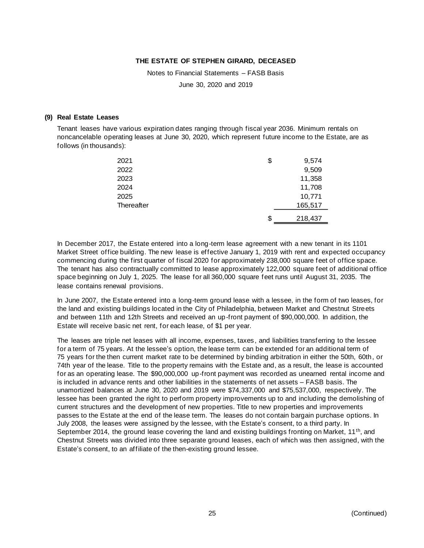Notes to Financial Statements – FASB Basis

June 30, 2020 and 2019

#### **(9) Real Estate Leases**

Tenant leases have various expiration dates ranging through fiscal year 2036. Minimum rentals on noncancelable operating leases at June 30, 2020, which represent future income to the Estate, are as follows (in thousands):

| 2021       | \$<br>9,574   |
|------------|---------------|
| 2022       | 9,509         |
| 2023       | 11,358        |
| 2024       | 11,708        |
| 2025       | 10,771        |
| Thereafter | 165,517       |
|            | \$<br>218,437 |

In December 2017, the Estate entered into a long-term lease agreement with a new tenant in its 1101 Market Street office building. The new lease is effective January 1, 2019 with rent and expected occupancy commencing during the first quarter of fiscal 2020 for approximately 238,000 square feet of office space. The tenant has also contractually committed to lease approximately 122,000 square feet of additional office space beginning on July 1, 2025. The lease for all 360,000 square feet runs until August 31, 2035. The lease contains renewal provisions.

In June 2007, the Estate entered into a long-term ground lease with a lessee, in the form of two leases, for the land and existing buildings located in the City of Philadelphia, between Market and Chestnut Streets and between 11th and 12th Streets and received an up-front payment of \$90,000,000. In addition, the Estate will receive basic net rent, for each lease, of \$1 per year.

The leases are triple net leases with all income, expenses, taxes, and liabilities transferring to the lessee for a term of 75 years. At the lessee's option, the lease term can be extended for an additional term of 75 years for the then current market rate to be determined by binding arbitration in either the 50th, 60th, or 74th year of the lease. Title to the property remains with the Estate and, as a result, the lease is accounted for as an operating lease. The \$90,000,000 up-front payment was recorded as unearned rental income and is included in advance rents and other liabilities in the statements of net assets – FASB basis. The unamortized balances at June 30, 2020 and 2019 were \$74,337,000 and \$75,537,000, respectively. The lessee has been granted the right to perform property improvements up to and including the demolishing of current structures and the development of new properties. Title to new properties and improvements passes to the Estate at the end of the lease term. The leases do not contain bargain purchase options. In July 2008, the leases were assigned by the lessee, with the Estate's consent, to a third party. In September 2014, the ground lease covering the land and existing buildings fronting on Market, 11<sup>th</sup>, and Chestnut Streets was divided into three separate ground leases, each of which was then assigned, with the Estate's consent, to an affiliate of the then-existing ground lessee.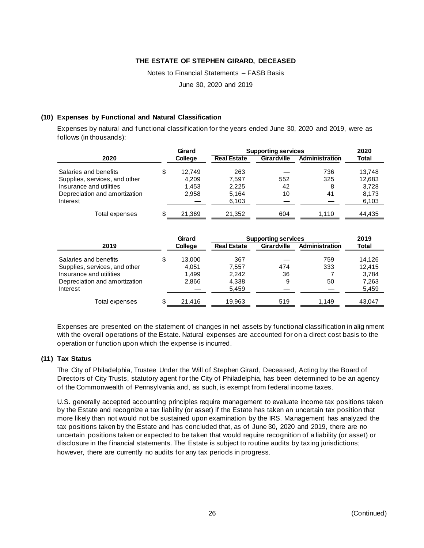Notes to Financial Statements – FASB Basis

June 30, 2020 and 2019

#### **(10) Expenses by Functional and Natural Classification**

Expenses by natural and f unctional classification for the years ended June 30, 2020 and 2019, were as follows (in thousands):

|                               | Girard       | <b>Supporting services</b> |             |                | 2020         |
|-------------------------------|--------------|----------------------------|-------------|----------------|--------------|
| 2020                          | College      | <b>Real Estate</b>         | Girardville | Administration | <b>Total</b> |
| Salaries and benefits         | \$<br>12.749 | 263                        |             | 736            | 13.748       |
| Supplies, services, and other | 4,209        | 7,597                      | 552         | 325            | 12,683       |
| Insurance and utilities       | 1.453        | 2,225                      | 42          | 8              | 3,728        |
| Depreciation and amortization | 2,958        | 5,164                      | 10          | 41             | 8,173        |
| Interest                      |              | 6,103                      |             |                | 6,103        |
| Total expenses                | \$<br>21,369 | 21,352                     | 604         | 1.110          | 44.435       |

|                               | Girard | <b>Supporting services</b> |                    |             | 2019           |        |
|-------------------------------|--------|----------------------------|--------------------|-------------|----------------|--------|
| 2019                          |        | <b>College</b>             | <b>Real Estate</b> | Girardville | Administration | Total  |
| Salaries and benefits         | \$     | 13.000                     | 367                |             | 759            | 14.126 |
| Supplies, services, and other |        | 4,051                      | 7,557              | 474         | 333            | 12.415 |
| Insurance and utilities       |        | 1.499                      | 2.242              | 36          |                | 3.784  |
| Depreciation and amortization |        | 2,866                      | 4,338              | 9           | 50             | 7,263  |
| Interest                      |        |                            | 5,459              |             |                | 5,459  |
| Total expenses                | \$     | 21.416                     | 19.963             | 519         | 1.149          | 43,047 |

Expenses are presented on the statement of changes in net assets by functional classification in alig nment with the overall operations of the Estate. Natural expenses are accounted for on a direct cost basis to the operation or function upon which the expense is incurred.

## **(11) Tax Status**

The City of Philadelphia, Trustee Under the Will of Stephen Girard, Deceased, Acting by the Board of Directors of City Trusts, statutory agent for the City of Philadelphia, has been determined to be an agency of the Commonwealth of Pennsylvania and, as such, is exempt from federal income taxes.

U.S. generally accepted accounting principles require management to evaluate income tax positions taken by the Estate and recognize a tax liability (or asset) if the Estate has taken an uncertain tax position that more likely than not would not be sustained upon examination by the IRS. Management has analyzed the tax positions taken by the Estate and has concluded that, as of June 30, 2020 and 2019, there are no uncertain positions taken or expected to be taken that would require recognition of a liability (or asset) or disclosure in the financial statements. The Estate is subject to routine audits by taxing jurisdictions; however, there are currently no audits for any tax periods in progress.